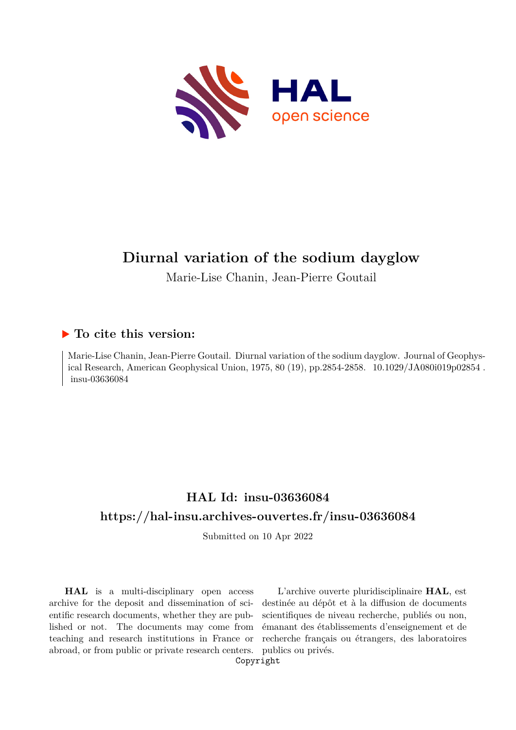

# **Diurnal variation of the sodium dayglow**

Marie-Lise Chanin, Jean-Pierre Goutail

### **To cite this version:**

Marie-Lise Chanin, Jean-Pierre Goutail. Diurnal variation of the sodium dayglow. Journal of Geophysical Research, American Geophysical Union, 1975, 80 (19), pp.2854-2858. 10.1029/JA080i019p02854. insu-03636084

## **HAL Id: insu-03636084 <https://hal-insu.archives-ouvertes.fr/insu-03636084>**

Submitted on 10 Apr 2022

**HAL** is a multi-disciplinary open access archive for the deposit and dissemination of scientific research documents, whether they are published or not. The documents may come from teaching and research institutions in France or abroad, or from public or private research centers.

L'archive ouverte pluridisciplinaire **HAL**, est destinée au dépôt et à la diffusion de documents scientifiques de niveau recherche, publiés ou non, émanant des établissements d'enseignement et de recherche français ou étrangers, des laboratoires publics ou privés.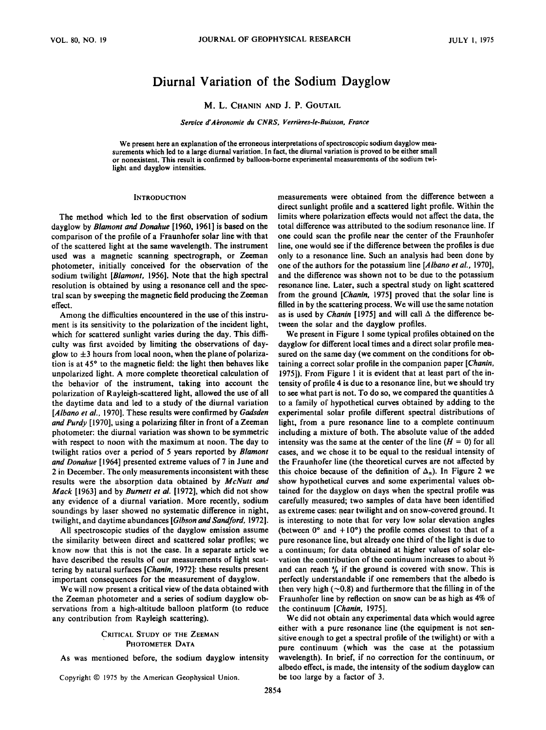### **Diurnal Variation of the Sodium Dayglow**

#### **M. L. CHANIN AND J.P. GOUTAlL**

**Service d'Abronomie du CNRS, Verribres-le-Buisson, France** 

We present here an explanation of the erroneous interpretations of spectroscopic sodium dayglow mea**surements which led to a large diurnal variation. In fact, the diurnal variation is proved to be either small**  or nonexistent. This result is confirmed by balloon-borne experimental measurements of the sodium twi**light and dayglow intensities.** 

#### **INTRODUCTION**

**The method which led to the first observation of sodium dayglow by Blamont and Donahue [1960, 1961] is based on the comparison of the profile of a Fraunhofer solar line with that of the scattered light at the same wavelength. The instrument used was a magnetic scanning spectrograph, or Zeeman photometer, initially conceived for the observation of the sodium twilight [Blamont, 1956]. Note that the high spectral resolution is obtained by using a resonance cell and the spectral scan by sweeping the magnetic field producing the Zeeman effect.** 

**Among the difficulties encountered in the use of this instrument is its sensitivity to the polarization of the incident light, which for scattered sunlight varies during the day. This difficulty was first avoided by limiting the observations of dayglow to 4-3 hours from local noon, when the plane of polariza**tion is at 45° to the magnetic field: the light then behaves like **unpolarized light. A more complete theoretical calculation of the behavior of the instrument, taking into account the polarization of Rayleigh-scattered light, allowed the use of all the daytime data and led to a study of the diurnal variation [Albano et al., 1970]. These results were confirmed by Gadsden and Purdy [1970], using a polarizing filter in front of a Zeeman photometer: the diurnal variation was shown to be symmetric**  with respect to noon with the maximum at noon. The day to **twilight ratios over a period of 5 years reported by Blamont and Donahue [1964] presented extreme values of 7 in June and 2 in December. The only measurements inconsistent with these results were the absorption data obtained by McNutt and Mack [1963] and by Burnett et al. [1972], which did not show any evidence of a diurnal variation. More recently, sodium soundings by laser showed no systematic difference in night, twilight, and daytime abundances [Gibson and Sandford, 1972].** 

**All spectroscopic studies of the dayglow emission assume the similarity between direct and scattered solar profiles; we know now that this is not the case. In a separate article we have described the results of our measurements of light scattering by natural surfaces [Chanin, 1972]: these results present important consequences for the measurement of dayglow.** 

**We will now present a critical view of the data obtained with the Zeeman photometer and a series of sodium dayglow observations from a high-altitude balloon platform (to reduce any contribution from Rayleigh scattering).** 

#### **CRITICAL STUDY OF THE ZEEMAN PHOTOMETER DATA**

**As was mentioned before, the sodium dayglow intensity** 

Copyright  $© 1975$  by the American Geophysical Union.

**measurements were obtained from the difference between a direct sunlight profile and a scattered light profile. Within the limits where polarization effects would not affect the data, the total difference was attributed to the sodium resonance line. If one could scan the profile near the center of the Fraunhofer line, one would see if the difference between the profiles is due only to a resonance line. Such an analysis had been done by one of the authors for the potassium line [Albano et al., 1970], and the difference was shown not to be due to the potassium resonance line. Later, such a spectral study on light scattered from the ground [Chanin, 1975] proved that the solar line is filled in by the scattering process. We will use the same notation**  as is used by *Chanin* [1975] and will call  $\Delta$  the difference be**tween the solar and the dayglow profiles.** 

**We present in Figure 1 some typical profiles obtained on the dayglow for different local times and a direct solar profile measured on the same day (we comment on the conditions for obtaining a correct solar profile in the companion paper [Chanin, 1975]). From Figure 1 it is evident that at least part of the intensity of profile 4 is due to a resonance line, but we should try to see what part is not. To do so, we compared the quantities A to a family of hypothetical curves obtained by adding to the experimental solar profile different spectral distributions of light, from a pure resonance line to a complete continuum including a mixture of both. The absolute value of the added**  intensity was the same at the center of the line  $(H = 0)$  for all **cases, and we chose it to be equal to the residual intensity of the Fraunhofer line (the theoretical curves are not affected by**  this choice because of the definition of  $\Delta_n$ ). In Figure 2 we **show hypothetical curves and some experimental values obtained for the dayglow on days when the spectral profile was carefully measured; two samples of data have been identified as extreme cases: near twilight and on snow-covered ground. It is interesting to note that for very low solar elevation angles**  (between  $0^{\circ}$  and  $+10^{\circ}$ ) the profile comes closest to that of a **pure resonance line, but already one third of the light is due to a continuum; for data obtained at higher values of solar elevation the contribution of the continuum increases to about 2/3**  and can reach  $\frac{4}{5}$  if the ground is covered with snow. This is **perfectly understandable if one remembers that the albedo is**  then very high  $(\sim 0.8)$  and furthermore that the filling in of the **Fraunhofer line by reflection on snow can be as high as 4% of the continuum [Chanin, 1975].** 

**We did not obtain any experimental data which would agree either with a pure resonance line (the equipment is not sensitive enough to get a spectral profile of the twilight) or with a pure continuum (which was the case at the potassium wavelength). In brief, if no correction for the continuum, or albedo effect, is made, the intensity of the sodium dayglow can be too large by a factor of 3.**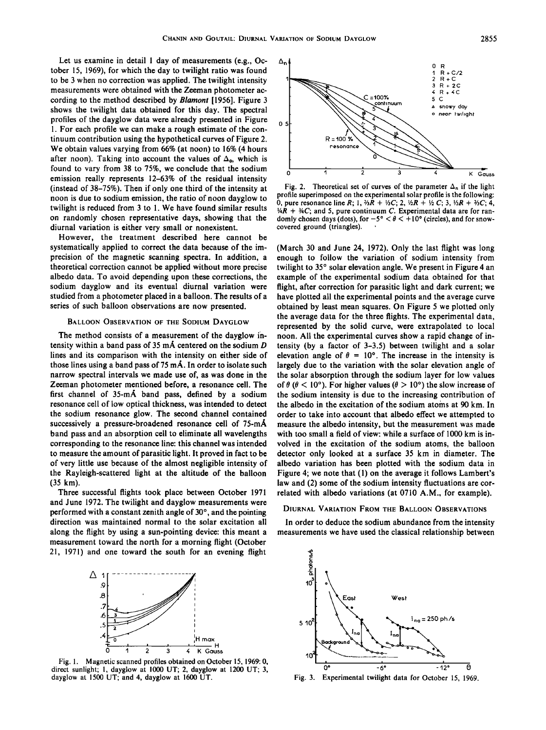**Let us examine in detail 1 day of measurements (e.g., October 15, 1969), for which the day to twilight ratio was found to be 3 when no correction was applied. The twilight intensity measurements were obtained with the Zeeman photometer ac**cording to the method described by **Blamont** [1956]. Figure 3 **shows the twilight data obtained for this day. The spectral profiles of the dayglow data were already presented in Figure 1. For each profile we can make a rough estimate of the continuum contribution using the hypothetical curves of Figure 2. We obtain values varying from 66% (at noon) to 16% (4 hours**  after noon). Taking into account the values of  $\Delta_0$ , which is **found to vary from 38 to 75%, we conclude that the sodium emission really represents 12-63% of the residual intensity (instead of 38-75%). Then if only one third of the intensity at noon is due to sodium emission, the ratio of noon dayglow to twilight is reduced from 3 to 1. We have found similar results on randomly chosen representative days, showing that the diurnal variation is either very small or nonexistent.** 

**However, the treatment described here cannot be systematically applied to correct the data because of the imprecision of the magnetic scanning spectra. In addition, a theoretical correction cannot be applied without more precise albedo data. To avoid depending upon these corrections, the sodium dayglow and its eventual diurnal variation were studied from a photometer placed in a balloon. The results of a series of such balloon observations are now presented.** 

#### **BALLOON OBSERVATION OF THE SODIUM DAYGLOW**

**The method consists of a measurement of the dayglow intensity within a band pass of 35 mA centered on the sodium D lines and its comparison with the intensity on either side of**  those lines using a band pass of 75 mÅ. In order to isolate such **narrow spectral intervals we made use of, as was done in the Zeeman photometer mentioned before, a resonance cell. The**  first channel of 35-mÅ band pass, defined by a sodium **resonance cell of low optical thickness, was intended to detect the sodium resonance glow. The second channel contained**  successively a pressure-broadened resonance cell of 75-mÅ **band pass and an absorption cell to eliminate all wavelengths corresponding to the resonance line: this channel was intended to measure the amount of parasitic light. It proved in fact to be of very little use because of the almost negligible intensity of the Rayleigh-scattered light at the altitude of the balloon (35 km).** 

**Three successful flights took place between October 1971 and June 1972. The twilight and dayglow measurements were**  performed with a constant zenith angle of 30°, and the pointing **direction was maintained normal to the solar excitation all along the flight by using a sun-pointing device: this meant a**  measurement toward the north for a morning flight (October **21, 1971) and one toward the south for an evening flight** 



**Fig. 1. Magnetic scanned profiles obtained on October 15, 1969: 0, direct sunlight; 1, dayglow at 1000 UT; 2, dayglow at 1200 UT; 3, dayglow at 1500 UT; and 4, dayglow at 1600 UT.** 



Fig. 2. Theoretical set of curves of the parameter  $\Delta_n$  if the light **profile superimposed on the experimental solar profile is the following: 0, pure resonance line R;** 1,  $\frac{3}{4}R + \frac{1}{3}C$ ; 2,  $\frac{1}{2}R + \frac{1}{2}C$ ; 3,  $\frac{1}{3}R + \frac{1}{2}C$ ; 4, **V4R + 3/4C; and 5, pure continuum C. Experimental data are for ran**domly chosen days (dots), for  $-5^{\circ} < \theta < +10^{\circ}$  (circles), and for snowcovered ground (triangles).

**(March 30 and June 24, 1972). Only the last flight was long enough to follow the variation of sodium intensity from**  twilight to 35° solar elevation angle. We present in Figure 4 an **example of the experimental sodium data obtained for that flight, after correction for parasitic light and dark current; we have plotted all the experimental points and the average curve obtained by least mean squares. On Figure 5 we plotted only the average data for the three flights. The experimental data, represented by the solid curve, were extrapolated to local noon. All the experimental curves show a rapid change of intensity (by a factor of 3-3.5) between twilight and a solar**  elevation angle of  $\theta = 10^{\circ}$ . The increase in the intensity is **largely due to the variation with the solar elevation angle of the solar absorption through the sodium layer for low values**  of  $\theta$  ( $\theta$  < 10°). For higher values ( $\theta$  > 10°) the slow increase of **the sodium intensity is due to the increasing contribution of the albedo in the excitation of the sodium atoms at 90 km. In order to take into account that albedo effect we attempted to measure the albedo intensity, but the measurement was made with too small a field of view: while a surface of 1000 km is involved in the excitation of the sodium atoms, the balloon detector only looked at a surface 35 km in diameter. The albedo variation has been plotted with the sodium data in Figure 4; we note that (1) on the average it follows Lambert's law and (2) some of the sodium intensity fluctuations are correlated with albedo variations (at 0710 A.M., for example).** 

#### **DIURNAL VARIATION FROM THE BALLOON OBSERVATIONS**

**In order to deduce the sodium abundance from the intensity measurements we have used the classical relationship between** 



**Fig. 3. Experimental twilight data for October 15, 1969.**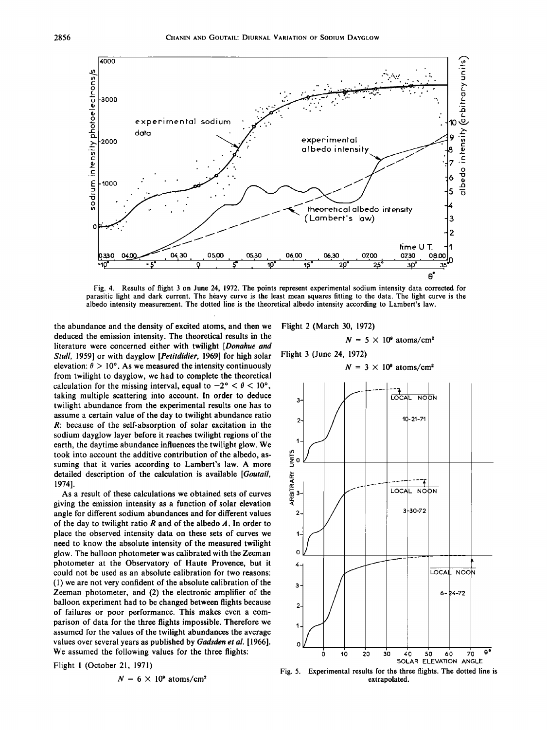

**Fig. 4. Results of flight 3 on June 24, 1972. The points represent experimental sodium intensity data corrected for parasitic light and dark current. The heavy curve is the least mean squares fitting to the data. The light curve is the albedo intensity measurement. The dotted line is the theoretical albedo intensity according to Lambert's law.** 

**the abundance and the density of excited atoms, and then we deduced the emission intensity. The theoretical results in the literature were concerned either with twilight [Donahue and \$tull, 1959] or with dayglow [Petitdidier, 1969] for high solar**  elevation:  $\theta > 10^{\circ}$ . As we measured the intensity continuously **from twilight to dayglow, we had to complete the theoretical**  calculation for the missing interval, equal to  $-2^{\circ} < \theta < 10^{\circ}$ , **taking multiple scattering into account. In order to deduce twilight abundance from the experimental results one has to assume a certain value of the day to twilight abundance ratio R: because of the self-absorption of solar excitation in the sodium dayglow layer before it reaches twilight regions of the earth, the daytime abundance influences the twilight glow. We took into account the additive contribution of the albedo, assuming that it varies according to Lambert's law. A more detailed description of the calculation is available [Goutall, 1974].** 

**As a result of these calculations we obtained sets of curves giving the emission intensity as a function of solar elevation angle for different sodium abundances and for different values**  of the day to twilight ratio  *and of the albedo*  $*A*$ *. In order to* **place the observed intensity data on these sets of curves we need to know the absolute intensity of the measured twilight glow. The balloon photometer was calibrated with the Zeeman photometer at the Observatory of Haute Provence, but it could not be used as an absolute calibration for two reasons: (1) we are not very confident of the absolute calibration of the Zeeman photometer, and (2) the electronic amplifier of the balloon experiment had to be changed between flights because of failures or poor performance. This makes even a comparison of data for the three flights impossible. Therefore we assumed for the values of the twilight abundances the average values over several years as published by Gadsden et al. [1966]. We assumed the following values for the three flights:** 

**Flight 1 (October 21, 1971)** 

$$
N = 6 \times 10^9 \text{ atoms/cm}^2
$$

**Flight 2 (March 30, 1972)** 

$$
N = 5 \times 10^9 \text{ atoms/cm}^2
$$

**Flight 3 (June 24, 1972)** 

 $N = 3 \times 10^9$  atoms/cm<sup>2</sup>



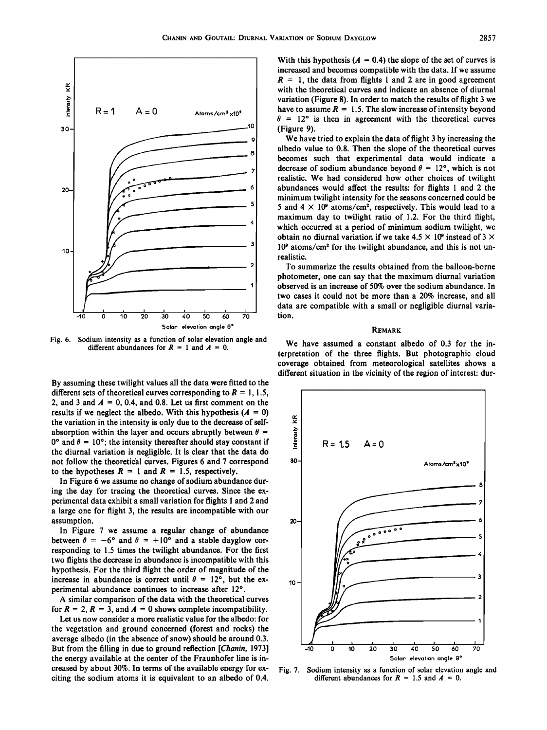

**Fig. 6. Sodium intensity as a function of solar elevation angle and**  different abundances for  $R = 1$  and  $A = 0$ .

**By assuming these twilight values all the data were fitted to the**  different sets of theoretical curves corresponding to  $R = 1, 1.5$ , 2, and 3 and  $A = 0$ , 0.4, and 0.8. Let us first comment on the results if we neglect the albedo. With this hypothesis  $(A = 0)$ **the variation in the intensity is only due to the decrease of self**absorption within the layer and occurs abruptly between  $\theta =$  $0^{\circ}$  and  $\theta = 10^{\circ}$ ; the intensity thereafter should stay constant if **the diurnal variation is negligible. It is clear that the data do**  not follow the theoretical curves. Figures 6 and 7 correspond to the hypotheses  $R = 1$  and  $R = 1.5$ , respectively.

**In Figure 6 we assume no change of sodium abundance during the day for tracing the theoretical curves. Since the experimental data exhibit a small variation for flights 1 and 2 and a large one for flight 3, the results are incompatible with our assumption.** 

**In Figure 7 we assume a regular change of abundance**  between  $\theta = -6^{\circ}$  and  $\theta = +10^{\circ}$  and a stable dayglow cor**responding to 1.5 times the twilight abundance. For the first two flights the decrease in abundance is incompatible with this hypothesis. For the third flight the order of magnitude of the**  increase in abundance is correct until  $\theta = 12^{\circ}$ , but the experimental abundance continues to increase after 12°.

**A similar comparison of the data with the theoretical curves**  for  $R = 2$ ,  $R = 3$ , and  $A = 0$  shows complete incompatibility.

**Let us now consider a more realistic value for the albedo: for the vegetation and ground concerned (forest and rocks) the average albedo (in the absence of snow) should be around 0.3. But from the filling in due to ground reflection [Chanin, 1973] the energy available at the center of the Fraunhofer line is increased by about 30%. In terms of the available energy for exciting the sodium atoms it is equivalent to an albedo of 0.4.**  With this hypothesis  $(A = 0.4)$  the slope of the set of curves is **increased and becomes compatible with the data. If we assume**   $R = 1$ , the data from flights 1 and 2 are in good agreement **with the theoretical curves and indicate an absence of diurnal variation (Figure 8). In order to match the results of flight 3 we**  have to assume  $R = 1.5$ . The slow increase of intensity beyond  $\theta$  = 12° is then in agreement with the theoretical curves **(Figure 9).** 

**We have tried to explain the data of flight 3 by increasing the albedo value to 0.8. Then the slope of the theoretical curves becomes such that experimental data would indicate a decrease of sodium abundance beyond**  $\theta = 12^{\circ}$ **, which is not realistic. We had considered how other choices of twilight abundances would affect the results: for flights 1 and 2 the minimum twilight intensity for the seasons concerned could be**  5 and  $4 \times 10^9$  atoms/cm<sup>2</sup>, respectively. This would lead to a **maximum day to twilight ratio of 1.2. For the third flight, which occurred at a period of minimum sodium twilight, we obtain no diurnal variation if we take**  $4.5 \times 10^9$  **instead of**  $3 \times$ 10<sup>°</sup> atoms/cm<sup>2</sup> for the twilight abundance, and this is not un**realistic.** 

**To summarize the results obtained from the balloon-borne photometer, one can say that the maximum diurnal variation observed is an increase of 50% over the sodium abundance. In two cases it could not be more than a 20% increase, and all data are compatible with a small or negligible diurnal variation.** 

#### **REMARK**

**We have assumed a constant albedo of 0.3 for the interpretation of the three flights. But photographic cloud coverage obtained from meteorological satellites shows a different situation in the vicinity of the region of interest: dur-**



**Fig. 7. Sodium intensity as a function of solar elevation angle and**  different abundances for  $R = 1.5$  and  $A = 0$ .